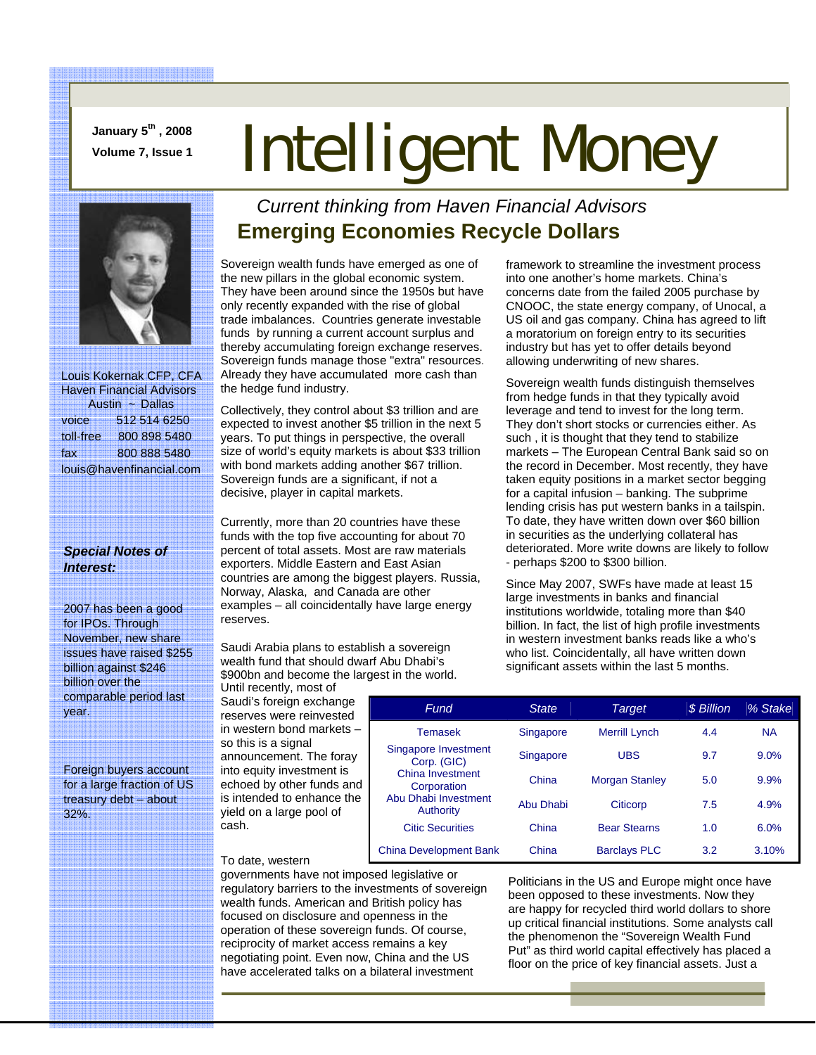**January 5th , 2008** 

# **Volume 7, Issue 1 Intelligent Money**



 Louis Kokernak CFP, CFA Haven Financial Advisors Austin ~ Dallas voice 512 514 6250 toll-free 800 898 5480 fax 800 888 5480 louis@havenfinancial.com

#### *Special Notes of Interest:*

2007 has been a good for IPOs. Through November, new share issues have raised \$255 billion against \$246 billion over the comparable period last year.

Foreign buyers account for a large fraction of US treasury debt – about 32%.

### *Current thinking from Haven Financial Advisors*  **Emerging Economies Recycle Dollars**

Sovereign wealth funds have emerged as one of the new pillars in the global economic system. They have been around since the 1950s but have only recently expanded with the rise of global trade imbalances. Countries generate investable funds by running a current account surplus and thereby accumulating foreign exchange reserves. Sovereign funds manage those "extra" resources. Already they have accumulated more cash than the hedge fund industry.

Collectively, they control about \$3 trillion and are expected to invest another \$5 trillion in the next 5 years. To put things in perspective, the overall size of world's equity markets is about \$33 trillion with bond markets adding another \$67 trillion. Sovereign funds are a significant, if not a decisive, player in capital markets.

Currently, more than 20 countries have these funds with the top five accounting for about 70 percent of total assets. Most are raw materials exporters. Middle Eastern and East Asian countries are among the biggest players. Russia, Norway, Alaska, and Canada are other examples – all coincidentally have large energy reserves.

Saudi Arabia plans to establish a sovereign wealth fund that should dwarf Abu Dhabi's \$900bn and become the largest in the world.

Until recently, most of Saudi's foreign exchange reserves were reinvested in western bond markets – so this is a signal announcement. The foray into equity investment is echoed by other funds and is intended to enhance the yield on a large pool of cash.

framework to streamline the investment process into one another's home markets. China's concerns date from the failed 2005 purchase by CNOOC, the state energy company, of Unocal, a US oil and gas company. China has agreed to lift a moratorium on foreign entry to its securities industry but has yet to offer details beyond allowing underwriting of new shares.

Sovereign wealth funds distinguish themselves from hedge funds in that they typically avoid leverage and tend to invest for the long term. They don't short stocks or currencies either. As such , it is thought that they tend to stabilize markets – The European Central Bank said so on the record in December. Most recently, they have taken equity positions in a market sector begging for a capital infusion – banking. The subprime lending crisis has put western banks in a tailspin. To date, they have written down over \$60 billion in securities as the underlying collateral has deteriorated. More write downs are likely to follow - perhaps \$200 to \$300 billion.

Since May 2007, SWFs have made at least 15 large investments in banks and financial institutions worldwide, totaling more than \$40 billion. In fact, the list of high profile investments in western investment banks reads like a who's who list. Coincidentally, all have written down significant assets within the last 5 months.

| Fund                                     | <b>State</b> | Target                | \$ Billion | % Stake   |
|------------------------------------------|--------------|-----------------------|------------|-----------|
| Temasek                                  | Singapore    | <b>Merrill Lynch</b>  | 4.4        | <b>NA</b> |
| Singapore Investment<br>Corp. (GIC)      | Singapore    | <b>UBS</b>            | 9.7        | 9.0%      |
| China Investment<br>Corporation          | China        | <b>Morgan Stanley</b> | 5.0        | 9.9%      |
| Abu Dhabi Investment<br><b>Authority</b> | Abu Dhabi    | Citicorp              | 7.5        | 4.9%      |
| <b>Citic Securities</b>                  | China        | <b>Bear Stearns</b>   | 1.0        | 6.0%      |
| <b>China Development Bank</b>            | China        | <b>Barclays PLC</b>   | 3.2        | 3.10%     |

#### To date, western

governments have not imposed legislative or regulatory barriers to the investments of sovereign wealth funds. American and British policy has focused on disclosure and openness in the operation of these sovereign funds. Of course, reciprocity of market access remains a key negotiating point. Even now, China and the US have accelerated talks on a bilateral investment

Politicians in the US and Europe might once have been opposed to these investments. Now they are happy for recycled third world dollars to shore up critical financial institutions. Some analysts call the phenomenon the "Sovereign Wealth Fund Put" as third world capital effectively has placed a floor on the price of key financial assets. Just a